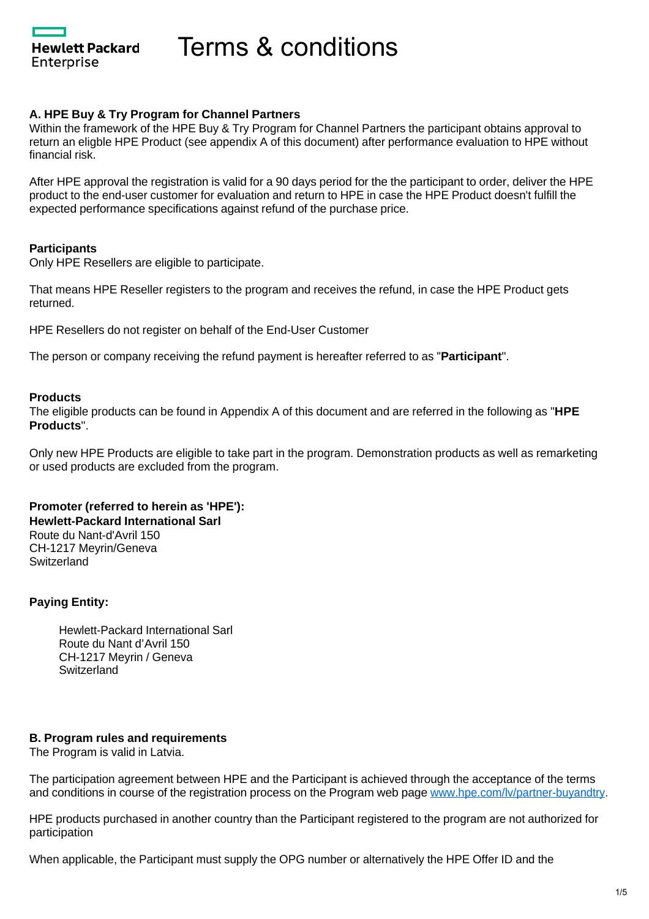**Hewlett Packard** Enterprise

Terms & conditions

### **A. HPE Buy & Try Program for Channel Partners**

Within the framework of the HPE Buy & Try Program for Channel Partners the participant obtains approval to return an eligble HPE Product (see appendix A of this document) after performance evaluation to HPE without financial risk.

After HPE approval the registration is valid for a 90 days period for the the participant to order, deliver the HPE product to the end-user customer for evaluation and return to HPE in case the HPE Product doesn't fulfill the expected performance specifications against refund of the purchase price.

#### **Participants**

Only HPE Resellers are eligible to participate.

That means HPE Reseller registers to the program and receives the refund, in case the HPE Product gets returned.

HPE Resellers do not register on behalf of the End-User Customer

The person or company receiving the refund payment is hereafter referred to as "**Participant**".

#### **Products**

The eligible products can be found in Appendix A of this document and are referred in the following as "**HPE Products**".

Only new HPE Products are eligible to take part in the program. Demonstration products as well as remarketing or used products are excluded from the program.

### **Promoter (referred to herein as 'HPE'):**

**Hewlett-Packard International Sarl**

Route du Nant-d'Avril 150 CH-1217 Meyrin/Geneva **Switzerland** 

### **Paying Entity:**

Hewlett-Packard International Sarl Route du Nant d'Avril 150 CH-1217 Meyrin / Geneva **Switzerland** 

#### **B. Program rules and requirements**

The Program is valid in Latvia.

The participation agreement between HPE and the Participant is achieved through the acceptance of the terms and conditions in course of the registration process on the Program web page [www.hpe.com/lv/partner-buyandtry.](http://www.hpe.com/lv/partnerbuyandtry)

HPE products purchased in another country than the Participant registered to the program are not authorized for participation

When applicable, the Participant must supply the OPG number or alternatively the HPE Offer ID and the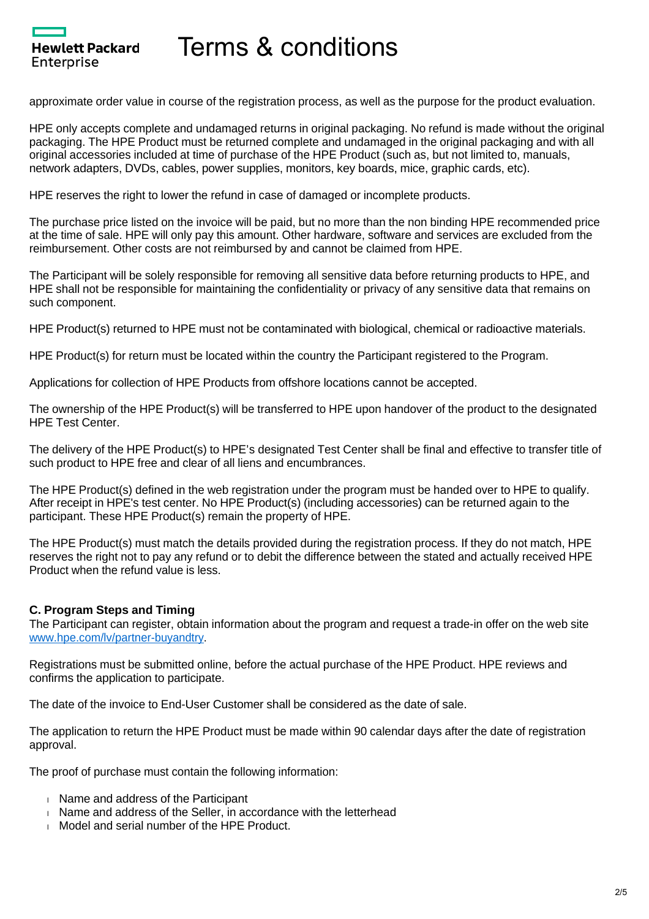approximate order value in course of the registration process, as well as the purpose for the product evaluation.

HPE only accepts complete and undamaged returns in original packaging. No refund is made without the original packaging. The HPE Product must be returned complete and undamaged in the original packaging and with all original accessories included at time of purchase of the HPE Product (such as, but not limited to, manuals, network adapters, DVDs, cables, power supplies, monitors, key boards, mice, graphic cards, etc).

HPE reserves the right to lower the refund in case of damaged or incomplete products.

The purchase price listed on the invoice will be paid, but no more than the non binding HPE recommended price at the time of sale. HPE will only pay this amount. Other hardware, software and services are excluded from the reimbursement. Other costs are not reimbursed by and cannot be claimed from HPE.

The Participant will be solely responsible for removing all sensitive data before returning products to HPE, and HPE shall not be responsible for maintaining the confidentiality or privacy of any sensitive data that remains on such component.

HPE Product(s) returned to HPE must not be contaminated with biological, chemical or radioactive materials.

HPE Product(s) for return must be located within the country the Participant registered to the Program.

Applications for collection of HPE Products from offshore locations cannot be accepted.

The ownership of the HPE Product(s) will be transferred to HPE upon handover of the product to the designated HPE Test Center.

The delivery of the HPE Product(s) to HPE's designated Test Center shall be final and effective to transfer title of such product to HPE free and clear of all liens and encumbrances.

The HPE Product(s) defined in the web registration under the program must be handed over to HPE to qualify. After receipt in HPE's test center. No HPE Product(s) (including accessories) can be returned again to the participant. These HPE Product(s) remain the property of HPE.

The HPE Product(s) must match the details provided during the registration process. If they do not match, HPE reserves the right not to pay any refund or to debit the difference between the stated and actually received HPE Product when the refund value is less.

### **C. Program Steps and Timing**

**Hewlett Packard** 

Enterprise

The Participant can register, obtain information about the program and request a trade-in offer on the web site [www.hpe.com/lv/partner-buyandtry.](http://www.hpe.com/lv/partnerbuyandtry)

Registrations must be submitted online, before the actual purchase of the HPE Product. HPE reviews and confirms the application to participate.

The date of the invoice to End-User Customer shall be considered as the date of sale.

The application to return the HPE Product must be made within 90 calendar days after the date of registration approval.

The proof of purchase must contain the following information:

- Name and address of the Participant
- Name and address of the Seller, in accordance with the letterhead
- Model and serial number of the HPE Product.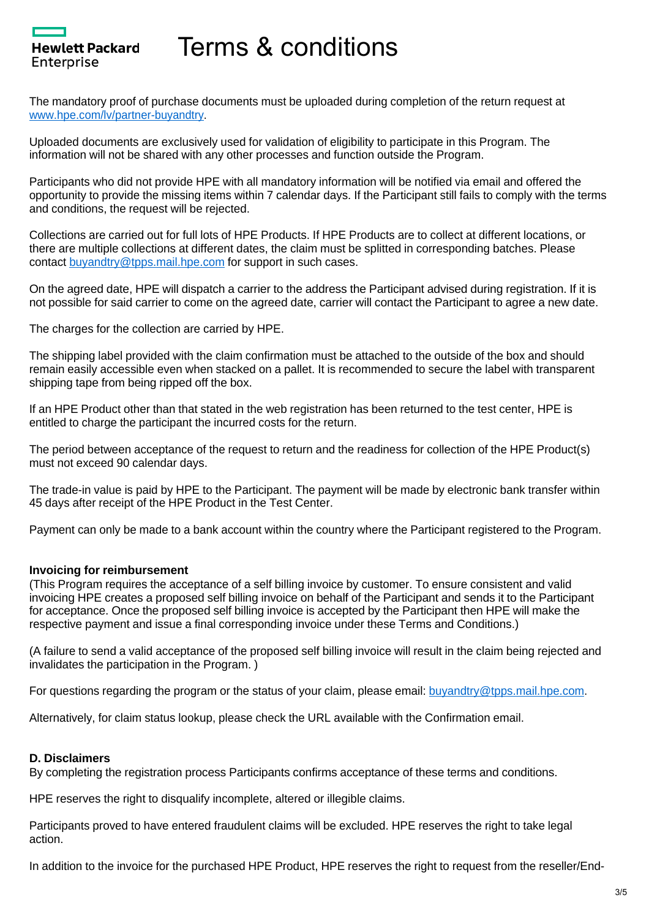The mandatory proof of purchase documents must be uploaded during completion of the return request at [www.hpe.com/lv/partner-buyandtry.](http://www.hpe.com/lv/partnerbuyandtry)

Uploaded documents are exclusively used for validation of eligibility to participate in this Program. The information will not be shared with any other processes and function outside the Program.

Participants who did not provide HPE with all mandatory information will be notified via email and offered the opportunity to provide the missing items within 7 calendar days. If the Participant still fails to comply with the terms and conditions, the request will be rejected.

Collections are carried out for full lots of HPE Products. If HPE Products are to collect at different locations, or there are multiple collections at different dates, the claim must be splitted in corresponding batches. Please contact [buyandtry@tpps.mail.hpe.com](mailto:buyandtry@tpps.mail.hpe.com) for support in such cases.

On the agreed date, HPE will dispatch a carrier to the address the Participant advised during registration. If it is not possible for said carrier to come on the agreed date, carrier will contact the Participant to agree a new date.

The charges for the collection are carried by HPE.

**Hewlett Packard** 

Enterprise

The shipping label provided with the claim confirmation must be attached to the outside of the box and should remain easily accessible even when stacked on a pallet. It is recommended to secure the label with transparent shipping tape from being ripped off the box.

If an HPE Product other than that stated in the web registration has been returned to the test center, HPE is entitled to charge the participant the incurred costs for the return.

The period between acceptance of the request to return and the readiness for collection of the HPE Product(s) must not exceed 90 calendar days.

The trade-in value is paid by HPE to the Participant. The payment will be made by electronic bank transfer within 45 days after receipt of the HPE Product in the Test Center.

Payment can only be made to a bank account within the country where the Participant registered to the Program.

### **Invoicing for reimbursement**

(This Program requires the acceptance of a self billing invoice by customer. To ensure consistent and valid invoicing HPE creates a proposed self billing invoice on behalf of the Participant and sends it to the Participant for acceptance. Once the proposed self billing invoice is accepted by the Participant then HPE will make the respective payment and issue a final corresponding invoice under these Terms and Conditions.)

(A failure to send a valid acceptance of the proposed self billing invoice will result in the claim being rejected and invalidates the participation in the Program. )

For questions regarding the program or the status of your claim, please email: [buyandtry@tpps.mail.hpe.com.](mailto:buyandtry@tpps.mail.hpe.com)

Alternatively, for claim status lookup, please check the URL available with the Confirmation email.

### **D. Disclaimers**

By completing the registration process Participants confirms acceptance of these terms and conditions.

HPE reserves the right to disqualify incomplete, altered or illegible claims.

Participants proved to have entered fraudulent claims will be excluded. HPE reserves the right to take legal action.

In addition to the invoice for the purchased HPE Product, HPE reserves the right to request from the reseller/End-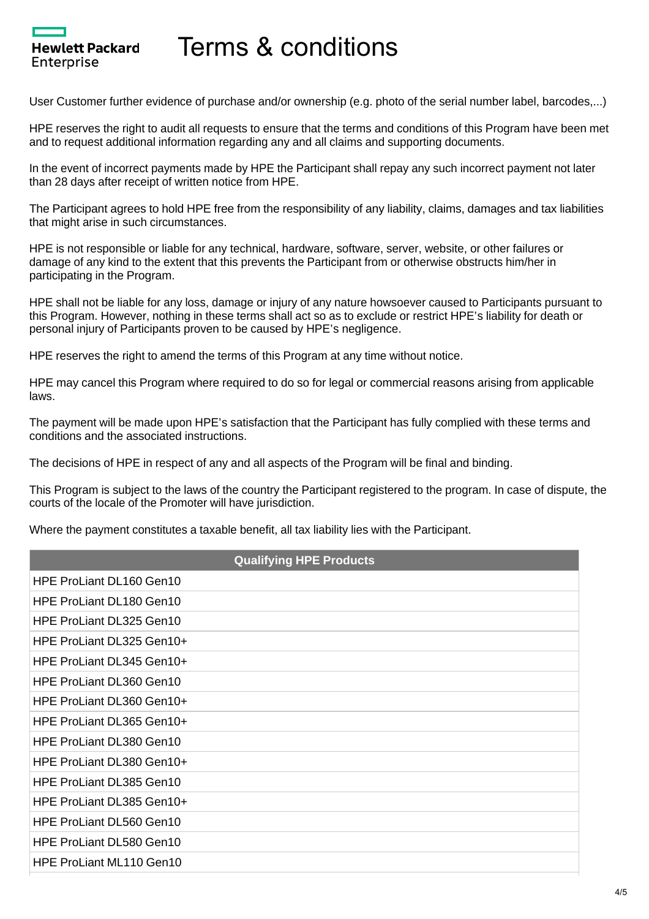Hewlett Packard

Enterprise

User Customer further evidence of purchase and/or ownership (e.g. photo of the serial number label, barcodes,...)

HPE reserves the right to audit all requests to ensure that the terms and conditions of this Program have been met and to request additional information regarding any and all claims and supporting documents.

In the event of incorrect payments made by HPE the Participant shall repay any such incorrect payment not later than 28 days after receipt of written notice from HPE.

The Participant agrees to hold HPE free from the responsibility of any liability, claims, damages and tax liabilities that might arise in such circumstances.

HPE is not responsible or liable for any technical, hardware, software, server, website, or other failures or damage of any kind to the extent that this prevents the Participant from or otherwise obstructs him/her in participating in the Program.

HPE shall not be liable for any loss, damage or injury of any nature howsoever caused to Participants pursuant to this Program. However, nothing in these terms shall act so as to exclude or restrict HPE's liability for death or personal injury of Participants proven to be caused by HPE's negligence.

HPE reserves the right to amend the terms of this Program at any time without notice.

HPE may cancel this Program where required to do so for legal or commercial reasons arising from applicable laws.

The payment will be made upon HPE's satisfaction that the Participant has fully complied with these terms and conditions and the associated instructions.

The decisions of HPE in respect of any and all aspects of the Program will be final and binding.

This Program is subject to the laws of the country the Participant registered to the program. In case of dispute, the courts of the locale of the Promoter will have jurisdiction.

Where the payment constitutes a taxable benefit, all tax liability lies with the Participant.

| <b>Qualifying HPE Products</b> |
|--------------------------------|
| HPE ProLiant DL160 Gen10       |
| HPE ProLiant DL180 Gen10       |
| HPE ProLiant DL325 Gen10       |
| HPE ProLiant DL325 Gen10+      |
| HPE ProLiant DL345 Gen10+      |
| HPE ProLiant DL360 Gen10       |
| HPE ProLiant DL360 Gen10+      |
| HPE ProLiant DL365 Gen10+      |
| HPE ProLiant DL380 Gen10       |
| HPE ProLiant DL380 Gen10+      |
| HPE ProLiant DL385 Gen10       |
| HPE ProLiant DL385 Gen10+      |
| HPE ProLiant DL560 Gen10       |
| HPE ProLiant DL580 Gen10       |
| HPE ProLiant ML110 Gen10       |